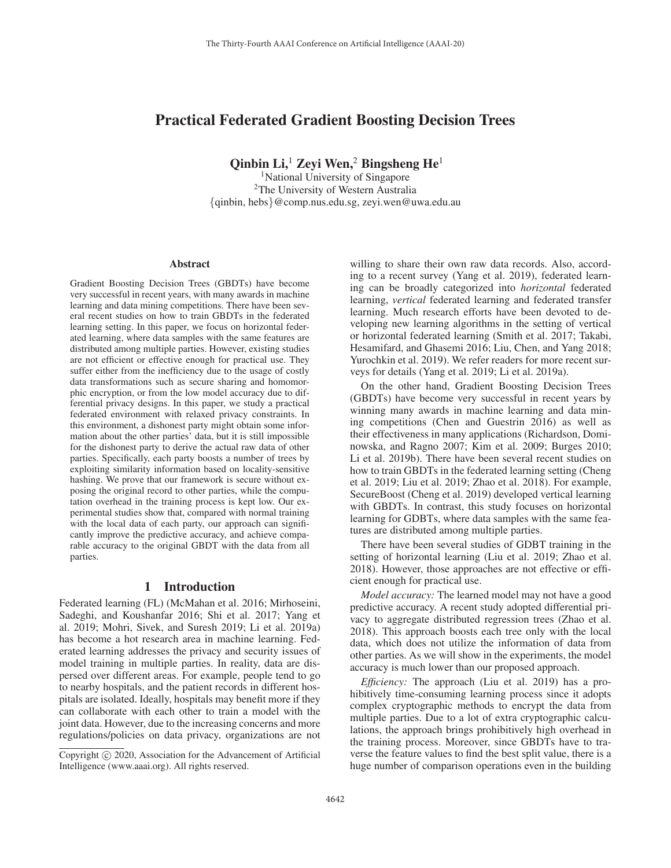# Practical Federated Gradient Boosting Decision Trees

Qinbin Li, $<sup>1</sup>$  Zevi Wen,<sup>2</sup> Bingsheng He<sup>1</sup></sup>

<sup>1</sup>National University of Singapore 2The University of Western Australia {qinbin, hebs}@comp.nus.edu.sg, zeyi.wen@uwa.edu.au

#### Abstract

Gradient Boosting Decision Trees (GBDTs) have become very successful in recent years, with many awards in machine learning and data mining competitions. There have been several recent studies on how to train GBDTs in the federated learning setting. In this paper, we focus on horizontal federated learning, where data samples with the same features are distributed among multiple parties. However, existing studies are not efficient or effective enough for practical use. They suffer either from the inefficiency due to the usage of costly data transformations such as secure sharing and homomorphic encryption, or from the low model accuracy due to differential privacy designs. In this paper, we study a practical federated environment with relaxed privacy constraints. In this environment, a dishonest party might obtain some information about the other parties' data, but it is still impossible for the dishonest party to derive the actual raw data of other parties. Specifically, each party boosts a number of trees by exploiting similarity information based on locality-sensitive hashing. We prove that our framework is secure without exposing the original record to other parties, while the computation overhead in the training process is kept low. Our experimental studies show that, compared with normal training with the local data of each party, our approach can significantly improve the predictive accuracy, and achieve comparable accuracy to the original GBDT with the data from all parties.

### 1 Introduction

Federated learning (FL) (McMahan et al. 2016; Mirhoseini, Sadeghi, and Koushanfar 2016; Shi et al. 2017; Yang et al. 2019; Mohri, Sivek, and Suresh 2019; Li et al. 2019a) has become a hot research area in machine learning. Federated learning addresses the privacy and security issues of model training in multiple parties. In reality, data are dispersed over different areas. For example, people tend to go to nearby hospitals, and the patient records in different hospitals are isolated. Ideally, hospitals may benefit more if they can collaborate with each other to train a model with the joint data. However, due to the increasing concerns and more regulations/policies on data privacy, organizations are not

willing to share their own raw data records. Also, according to a recent survey (Yang et al. 2019), federated learning can be broadly categorized into *horizontal* federated learning, *vertical* federated learning and federated transfer learning. Much research efforts have been devoted to developing new learning algorithms in the setting of vertical or horizontal federated learning (Smith et al. 2017; Takabi, Hesamifard, and Ghasemi 2016; Liu, Chen, and Yang 2018; Yurochkin et al. 2019). We refer readers for more recent surveys for details (Yang et al. 2019; Li et al. 2019a).

On the other hand, Gradient Boosting Decision Trees (GBDTs) have become very successful in recent years by winning many awards in machine learning and data mining competitions (Chen and Guestrin 2016) as well as their effectiveness in many applications (Richardson, Dominowska, and Ragno 2007; Kim et al. 2009; Burges 2010; Li et al. 2019b). There have been several recent studies on how to train GBDTs in the federated learning setting (Cheng et al. 2019; Liu et al. 2019; Zhao et al. 2018). For example, SecureBoost (Cheng et al. 2019) developed vertical learning with GBDTs. In contrast, this study focuses on horizontal learning for GDBTs, where data samples with the same features are distributed among multiple parties.

There have been several studies of GDBT training in the setting of horizontal learning (Liu et al. 2019; Zhao et al. 2018). However, those approaches are not effective or efficient enough for practical use.

*Model accuracy:* The learned model may not have a good predictive accuracy. A recent study adopted differential privacy to aggregate distributed regression trees (Zhao et al. 2018). This approach boosts each tree only with the local data, which does not utilize the information of data from other parties. As we will show in the experiments, the model accuracy is much lower than our proposed approach.

*Efficiency:* The approach (Liu et al. 2019) has a prohibitively time-consuming learning process since it adopts complex cryptographic methods to encrypt the data from multiple parties. Due to a lot of extra cryptographic calculations, the approach brings prohibitively high overhead in the training process. Moreover, since GBDTs have to traverse the feature values to find the best split value, there is a huge number of comparison operations even in the building

Copyright  $\odot$  2020, Association for the Advancement of Artificial Intelligence (www.aaai.org). All rights reserved.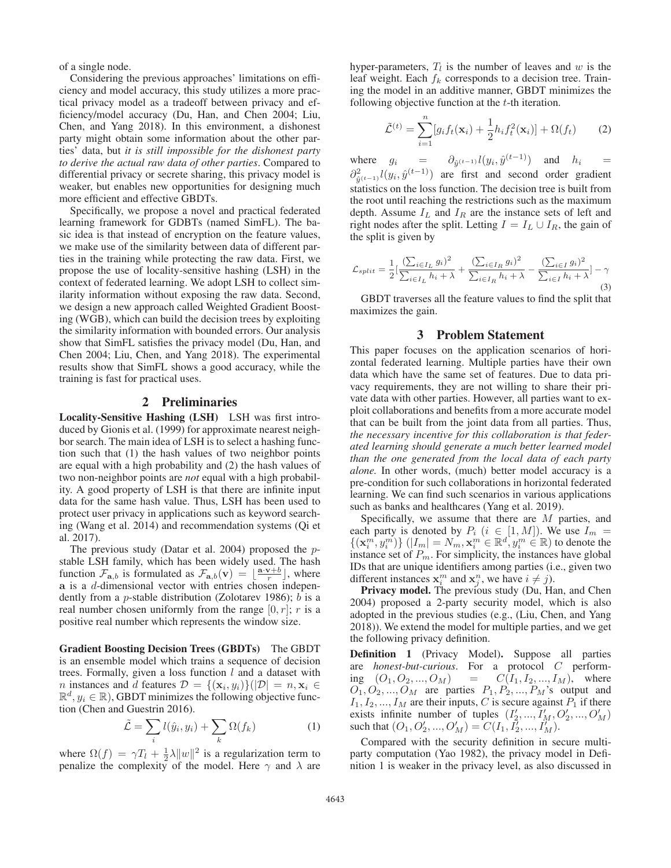of a single node.

Considering the previous approaches' limitations on efficiency and model accuracy, this study utilizes a more practical privacy model as a tradeoff between privacy and efficiency/model accuracy (Du, Han, and Chen 2004; Liu, Chen, and Yang 2018). In this environment, a dishonest party might obtain some information about the other parties' data, but *it is still impossible for the dishonest party to derive the actual raw data of other parties*. Compared to differential privacy or secrete sharing, this privacy model is weaker, but enables new opportunities for designing much more efficient and effective GBDTs.

Specifically, we propose a novel and practical federated learning framework for GDBTs (named SimFL). The basic idea is that instead of encryption on the feature values, we make use of the similarity between data of different parties in the training while protecting the raw data. First, we propose the use of locality-sensitive hashing (LSH) in the context of federated learning. We adopt LSH to collect similarity information without exposing the raw data. Second, we design a new approach called Weighted Gradient Boosting (WGB), which can build the decision trees by exploiting the similarity information with bounded errors. Our analysis show that SimFL satisfies the privacy model (Du, Han, and Chen 2004; Liu, Chen, and Yang 2018). The experimental results show that SimFL shows a good accuracy, while the training is fast for practical uses.

### 2 Preliminaries

Locality-Sensitive Hashing (LSH) LSH was first introduced by Gionis et al. (1999) for approximate nearest neighbor search. The main idea of LSH is to select a hashing function such that (1) the hash values of two neighbor points are equal with a high probability and (2) the hash values of two non-neighbor points are *not* equal with a high probability. A good property of LSH is that there are infinite input data for the same hash value. Thus, LSH has been used to protect user privacy in applications such as keyword searching (Wang et al. 2014) and recommendation systems (Qi et al. 2017).

The previous study (Datar et al. 2004) proposed the  $p$ stable LSH family, which has been widely used. The hash function  $\mathcal{F}_{\mathbf{a},b}$  is formulated as  $\mathcal{F}_{\mathbf{a},b}(\mathbf{v}) = \lfloor \frac{\mathbf{a} \cdot \mathbf{v} + b}{r} \rfloor$ , where **a** is a d-dimensional vector with entries chosen independently from a p-stable distribution (Zolotarev 1986); b is a real number chosen uniformly from the range  $[0, r]$ ; r is a positive real number which represents the window size.

Gradient Boosting Decision Trees (GBDTs) The GBDT is an ensemble model which trains a sequence of decision trees. Formally, given a loss function  $l$  and a dataset with n instances and d features  $\mathcal{D} = \{(\mathbf{x}_i, y_i)\}(|\mathcal{D}| = n, \mathbf{x}_i \in$  $\mathbb{R}^d$ ,  $y_i \in \mathbb{R}$ ), GBDT minimizes the following objective function (Chen and Guestrin 2016).

$$
\tilde{\mathcal{L}} = \sum_{i} l(\hat{y}_i, y_i) + \sum_{k} \Omega(f_k)
$$
 (1)

where  $\Omega(f) = \gamma T_l + \frac{1}{2}\lambda ||w||^2$  is a regularization term to penalize the complexity of the model. Here  $\gamma$  and  $\lambda$  are hyper-parameters,  $T_l$  is the number of leaves and w is the leaf weight. Each  $f_k$  corresponds to a decision tree. Training the model in an additive manner, GBDT minimizes the following objective function at the t-th iteration.

$$
\tilde{\mathcal{L}}^{(t)} = \sum_{i=1}^{n} [g_i f_t(\mathbf{x}_i) + \frac{1}{2} h_i f_t^2(\mathbf{x}_i)] + \Omega(f_t)
$$
 (2)

where  $g_i = \partial_{\hat{y}^{(t-1)}} l(y_i, \hat{y}^{(t-1)})$  and  $h_i =$  $\partial_{\hat{y}^{(t-1)}}^2 l(y_i, \hat{y}^{(t-1)})$  are first and second order gradient statistics on the loss function. The decision tree is built from the root until reaching the restrictions such as the maximum depth. Assume  $I_L$  and  $I_R$  are the instance sets of left and right nodes after the split. Letting  $I = I_L \cup I_R$ , the gain of the split is given by

$$
\mathcal{L}_{split} = \frac{1}{2} \left[ \frac{\left( \sum_{i \in I_L} g_i \right)^2}{\sum_{i \in I_L} h_i + \lambda} + \frac{\left( \sum_{i \in I_R} g_i \right)^2}{\sum_{i \in I_R} h_i + \lambda} - \frac{\left( \sum_{i \in I} g_i \right)^2}{\sum_{i \in I} h_i + \lambda} \right] - \gamma \tag{3}
$$

GBDT traverses all the feature values to find the split that maximizes the gain.

### 3 Problem Statement

This paper focuses on the application scenarios of horizontal federated learning. Multiple parties have their own data which have the same set of features. Due to data privacy requirements, they are not willing to share their private data with other parties. However, all parties want to exploit collaborations and benefits from a more accurate model that can be built from the joint data from all parties. Thus, *the necessary incentive for this collaboration is that federated learning should generate a much better learned model than the one generated from the local data of each party alone.* In other words, (much) better model accuracy is a pre-condition for such collaborations in horizontal federated learning. We can find such scenarios in various applications such as banks and healthcares (Yang et al. 2019).

Specifically, we assume that there are M parties, and each party is denoted by  $P_i$   $(i \in [1, M])$ . We use  $I_m$  =  $\{(x_i^m, y_i^m)\}\ (|I_m| = N_m, x_i^m \in \mathbb{R}^d, y_i^m \in \mathbb{R})$  to denote the instance set of  $P_m$ . For simplicity, the instances have global IDs that are unique identifiers among parties (i.e., given two different instances  $x_i^m$  and  $x_j^n$ , we have  $i \neq j$ ).

Privacy model. The previous study (Du, Han, and Chen 2004) proposed a 2-party security model, which is also adopted in the previous studies (e.g., (Liu, Chen, and Yang 2018)). We extend the model for multiple parties, and we get the following privacy definition.

Definition 1 (Privacy Model). Suppose all parties are *honest-but-curious*. For a protocol C performing  $(O_1, O_2, ..., O_M)$  =  $C(I_1, I_2, ..., I_M)$ , where  $O_1, O_2, \ldots, O_M$  are parties  $P_1, P_2, \ldots, P_M$ 's output and  $I_1, I_2, ..., I_M$  are their inputs, C is secure against  $P_1$  if there exists infinite number of tuples  $(I'_2, ..., I'_M, O'_2, ..., O'_M)$ such that  $(O_1, O'_2, ..., O'_M) = C(I_1, I'_2, ..., I'_M)$ .

Compared with the security definition in secure multiparty computation (Yao 1982), the privacy model in Definition 1 is weaker in the privacy level, as also discussed in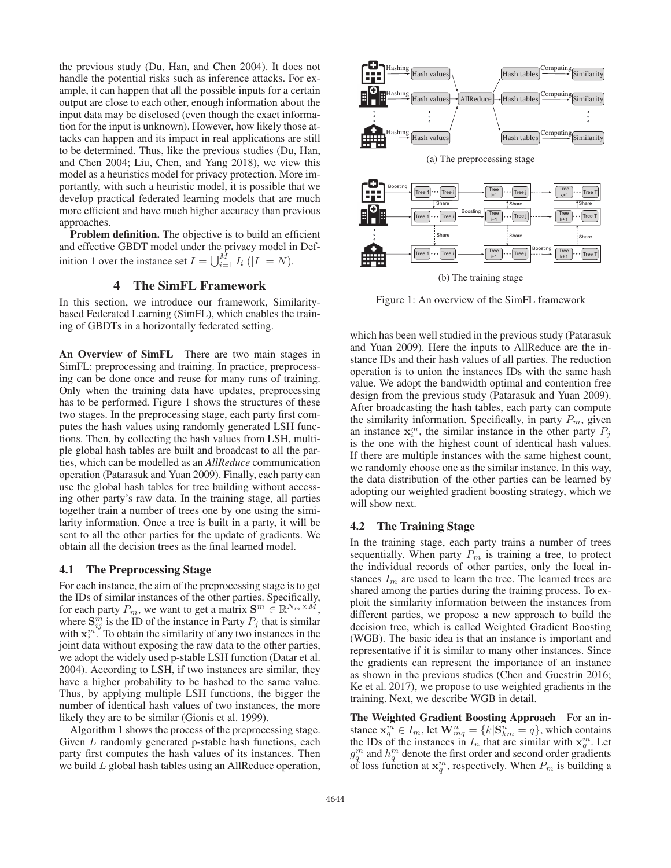the previous study (Du, Han, and Chen 2004). It does not handle the potential risks such as inference attacks. For example, it can happen that all the possible inputs for a certain output are close to each other, enough information about the input data may be disclosed (even though the exact information for the input is unknown). However, how likely those attacks can happen and its impact in real applications are still to be determined. Thus, like the previous studies (Du, Han, and Chen 2004; Liu, Chen, and Yang 2018), we view this model as a heuristics model for privacy protection. More importantly, with such a heuristic model, it is possible that we develop practical federated learning models that are much more efficient and have much higher accuracy than previous approaches.

Problem definition. The objective is to build an efficient and effective GBDT model under the privacy model in Definition 1 over the instance set  $I = \bigcup_{i=1}^{M} I_i$   $(|I| = N)$ .

### 4 The SimFL Framework

In this section, we introduce our framework, Similaritybased Federated Learning (SimFL), which enables the training of GBDTs in a horizontally federated setting.

An Overview of SimFL There are two main stages in SimFL: preprocessing and training. In practice, preprocessing can be done once and reuse for many runs of training. Only when the training data have updates, preprocessing has to be performed. Figure 1 shows the structures of these two stages. In the preprocessing stage, each party first computes the hash values using randomly generated LSH functions. Then, by collecting the hash values from LSH, multiple global hash tables are built and broadcast to all the parties, which can be modelled as an *AllReduce* communication operation (Patarasuk and Yuan 2009). Finally, each party can use the global hash tables for tree building without accessing other party's raw data. In the training stage, all parties together train a number of trees one by one using the similarity information. Once a tree is built in a party, it will be sent to all the other parties for the update of gradients. We obtain all the decision trees as the final learned model.

#### 4.1 The Preprocessing Stage

For each instance, the aim of the preprocessing stage is to get the IDs of similar instances of the other parties. Specifically, for each party  $P_m$ , we want to get a matrix  $\mathbf{S}^m \in \mathbb{R}^{N_m \times M}$ , where  $S_{ij}^{\hat{m}}$  is the ID of the instance in Party  $P_j$  that is similar with  $\mathbf{x}_i^{m}$ . To obtain the similarity of any two instances in the joint data without exposing the raw data to the other parties, we adopt the widely used p-stable LSH function (Datar et al. 2004). According to LSH, if two instances are similar, they have a higher probability to be hashed to the same value. Thus, by applying multiple LSH functions, the bigger the number of identical hash values of two instances, the more likely they are to be similar (Gionis et al. 1999).

Algorithm 1 shows the process of the preprocessing stage. Given L randomly generated p-stable hash functions, each party first computes the hash values of its instances. Then we build L global hash tables using an AllReduce operation,



(b) The training stage

Figure 1: An overview of the SimFL framework

which has been well studied in the previous study (Patarasuk and Yuan 2009). Here the inputs to AllReduce are the instance IDs and their hash values of all parties. The reduction operation is to union the instances IDs with the same hash value. We adopt the bandwidth optimal and contention free design from the previous study (Patarasuk and Yuan 2009). After broadcasting the hash tables, each party can compute the similarity information. Specifically, in party  $P_m$ , given an instance  $x_i^m$ , the similar instance in the other party  $P_j$ is the one with the highest count of identical hash values. If there are multiple instances with the same highest count, we randomly choose one as the similar instance. In this way, the data distribution of the other parties can be learned by adopting our weighted gradient boosting strategy, which we will show next.

### 4.2 The Training Stage

In the training stage, each party trains a number of trees sequentially. When party  $P_m$  is training a tree, to protect the individual records of other parties, only the local instances  $I_m$  are used to learn the tree. The learned trees are shared among the parties during the training process. To exploit the similarity information between the instances from different parties, we propose a new approach to build the decision tree, which is called Weighted Gradient Boosting (WGB). The basic idea is that an instance is important and representative if it is similar to many other instances. Since the gradients can represent the importance of an instance as shown in the previous studies (Chen and Guestrin 2016; Ke et al. 2017), we propose to use weighted gradients in the training. Next, we describe WGB in detail.

The Weighted Gradient Boosting Approach For an instance  $\mathbf{x}_q^m \in I_m$ , let  $\mathbf{W}_{mq}^n = \{k | \mathbf{S}_{km}^n = q\}$ , which contains the IDs of the instances in  $I_n$  that are similar with  $\mathbf{x}_q^m$ . Let  $g_q^m$  and  $h_q^m$  denote the first order and second order gradients of loss function at  $x_q^m$ , respectively. When  $P_m$  is building a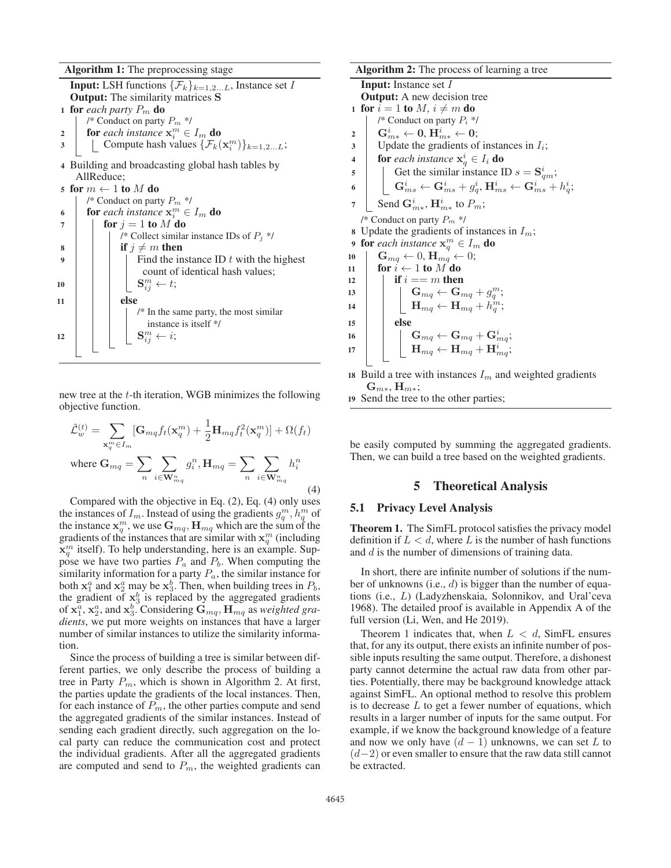Algorithm 1: The preprocessing stage

**Input:** LSH functions  $\{\mathcal{F}_k\}_{k=1,2...L}$ , Instance set I Output: The similarity matrices **S** 1 **for** *each party*  $P_m$  **do** /\* Conduct on party  $P_m$  \*/ 2 **for** each instance  $\mathbf{x}_i^m \in I_m$  do 3 Compute hash values  $\{\mathcal{F}_k(\mathbf{x}_i^m)\}_{k=1,2...L}$ ; 4 Building and broadcasting global hash tables by AllReduce; 5 for  $m \leftarrow 1$  to  $M$  do /\* Conduct on party  $P_m$  \*/ 6 **for** each instance  $\mathbf{x}_i^m \in I_m$  **do**  $7 \mid \text{for } j = 1 \text{ to } M \text{ do}$ /\* Collect similar instance IDs of  $P_j$  \*/  $\mathbf{s}$  | | if  $j \neq m$  then 9 | | | Find the instance ID  $t$  with the highest count of identical hash values;  $\mathbf{S}^m_{ij} \leftarrow t;$  $11$  else /\* In the same party, the most similar instance is itself \*/  $\mathbf{S}^m_{ij} \leftarrow i;$ 

new tree at the t-th iteration, WGB minimizes the following objective function.

$$
\tilde{\mathcal{L}}_{w}^{(t)} = \sum_{\mathbf{x}_{q}^{m} \in I_{m}} [\mathbf{G}_{mq} f_{t}(\mathbf{x}_{q}^{m}) + \frac{1}{2} \mathbf{H}_{mq} f_{t}^{2}(\mathbf{x}_{q}^{m})] + \Omega(f_{t})
$$
\nwhere  $\mathbf{G}_{mq} = \sum_{n} \sum_{i \in \mathbf{W}_{mq}^{n}} g_{i}^{n}$ ,  $\mathbf{H}_{mq} = \sum_{n} \sum_{i \in \mathbf{W}_{mq}^{n}} h_{i}^{n}$ \n(4)

Compared with the objective in Eq. (2), Eq. (4) only uses the instances of  $I_m$ . Instead of using the gradients  $g_q^m$ ,  $h_q^m$  of the instance  $\mathbf{x}_q^m$ , we use  $\mathbf{G}_{mq}, \mathbf{H}_{mq}$  which are the sum of the gradients of the instances that are similar with  $x_q^m$  (including  $\mathbf{x}_q^m$  itself). To help understanding, here is an example. Suppose we have two parties  $P_a$  and  $P_b$ . When computing the similarity information for a party  $P_a$ , the similar instance for both  $x_1^a$  and  $x_2^a$  may be  $x_3^b$ . Then, when building trees in  $P_b$ , the gradient of  $x_3^b$  is replaced by the aggregated gradients of  $\mathbf{x}_1^a$ ,  $\mathbf{x}_2^a$ , and  $\mathbf{x}_3^b$ . Considering  $\mathbf{G}_{mq}$ ,  $\mathbf{H}_{mq}$  as *weighted gradients*, we put more weights on instances that have a larger number of similar instances to utilize the similarity information.

Since the process of building a tree is similar between different parties, we only describe the process of building a tree in Party  $P_m$ , which is shown in Algorithm 2. At first, the parties update the gradients of the local instances. Then, for each instance of  $P_m$ , the other parties compute and send the aggregated gradients of the similar instances. Instead of sending each gradient directly, such aggregation on the local party can reduce the communication cost and protect the individual gradients. After all the aggregated gradients are computed and send to  $P_m$ , the weighted gradients can

Algorithm 2: The process of learning a tree Input: Instance set I Output: A new decision tree 1 for  $i = 1$  to M,  $i \neq m$  do /\* Conduct on party  $P_i$  \*/  $\mathbf{G}^i_{m*} \leftarrow \mathbf{0}, \, \mathbf{H}^i_{m*} \leftarrow \mathbf{0}; \quad \mathbf{H}^i_{m*} \leftarrow \mathbf{0};$  $\overline{\mathbf{3}}$  Update the gradients of instances in  $I_i$ ; 4 **for** each instance  $x_q^i \in I_i$  **do**  $5 \mid$  Get the similar instance ID  $s = \mathbf{S}_{qm}^i$ ;  $\mathbf{G}_\textit{ms}^i \leftarrow \mathbf{G}_\textit{ms}^i + g_q^i, \mathbf{H}_\textit{ms}^i \leftarrow \mathbf{G}_\textit{ms}^i + h_q^i;$ 7  $\mathbb{C}$  Send  $\mathbf{G}_{m*}^i$ ,  $\mathbf{H}_{m*}^i$  to  $P_m$ ; /\* Conduct on party  $P_m$  \*/ 8 Update the gradients of instances in  $I_m$ ; 9 for each instance  $\mathbf{x}_q^m \in I_m$  do 10  $\mathbf{G}_{mq} \leftarrow 0, \mathbf{H}_{mq} \leftarrow 0;$ 11 for  $i \leftarrow 1$  to M do 12 if  $i == m$  then <sup>13</sup> **G**mq ← **G**mq + g<sup>m</sup> q ;  $\textbf{H}_{mq} \leftarrow \textbf{H}_{mq} + h_q^{\overline{m}};$ <sup>15</sup> else  $\begin{array}{|c|c|c|}\hline \textbf{16} & \textbf{G} & \textbf{G}_{mq} \leftarrow \textbf{G}_{mq} + \textbf{G}_{mq}^i; \hline \end{array}$  $\textbf{H}_{mq} \leftarrow \textbf{H}_{mq} + \textbf{H}_{mq}^i;$ 18 Build a tree with instances  $I_m$  and weighted gradients  $\mathbf{G}_{m*}, \mathbf{H}_{m*};$ 

<sup>19</sup> Send the tree to the other parties;

be easily computed by summing the aggregated gradients. Then, we can build a tree based on the weighted gradients.

### 5 Theoretical Analysis

#### 5.1 Privacy Level Analysis

Theorem 1. The SimFL protocol satisfies the privacy model definition if  $L < d$ , where L is the number of hash functions and d is the number of dimensions of training data.

In short, there are infinite number of solutions if the number of unknowns (i.e., d) is bigger than the number of equations (i.e., L) (Ladyzhenskaia, Solonnikov, and Ural'ceva 1968). The detailed proof is available in Appendix A of the full version (Li, Wen, and He 2019).

Theorem 1 indicates that, when  $L < d$ , SimFL ensures that, for any its output, there exists an infinite number of possible inputs resulting the same output. Therefore, a dishonest party cannot determine the actual raw data from other parties. Potentially, there may be background knowledge attack against SimFL. An optional method to resolve this problem is to decrease  $L$  to get a fewer number of equations, which results in a larger number of inputs for the same output. For example, if we know the background knowledge of a feature and now we only have  $(d - 1)$  unknowns, we can set L to  $(d-2)$  or even smaller to ensure that the raw data still cannot be extracted.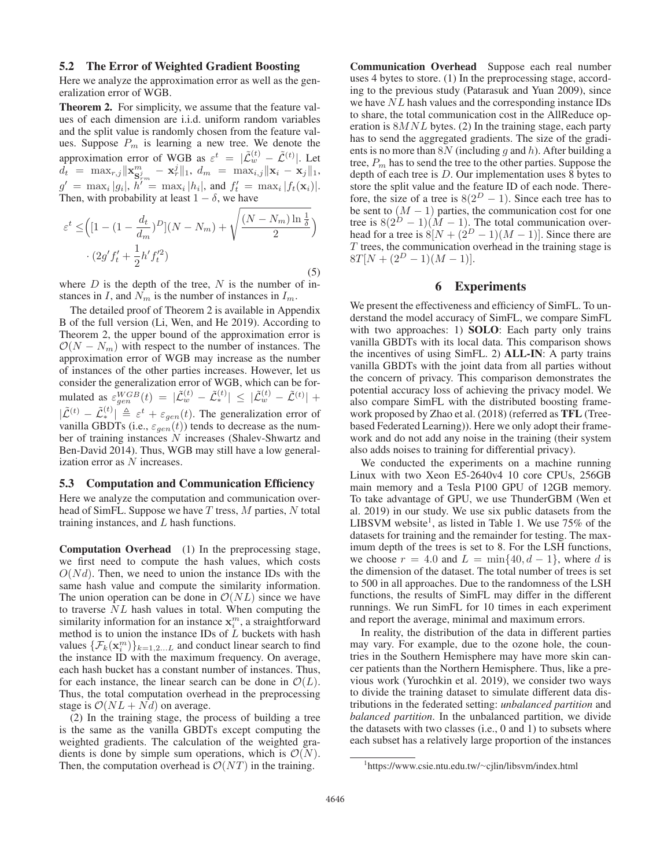#### 5.2 The Error of Weighted Gradient Boosting

Here we analyze the approximation error as well as the generalization error of WGB.

Theorem 2. For simplicity, we assume that the feature values of each dimension are i.i.d. uniform random variables and the split value is randomly chosen from the feature values. Suppose  $P_m$  is learning a new tree. We denote the approximation error of WGB as  $\varepsilon^t = |\tilde{\mathcal{L}}_w^{(t)} - \tilde{\mathcal{L}}^{(t)}|$ . Let  $d_t$  = max<sub>r,j</sub> $\|\mathbf{x}_{\mathbf{S}_{rm}^{j}}^{m} - \mathbf{x}_{r}^{j}\|_{1}$ ,  $d_m$  = max<sub>i,j</sub> $\|\mathbf{x}_{i} - \mathbf{x}_{j}\|_{1}$ ,  $g' = \max_i |g_i|, h' = \max_i |h_i|,$  and  $f'_t = \max_i |f_t(\mathbf{x}_i)|$ . Then, with probability at least  $1 - \delta$ , we have

$$
\varepsilon^{t} \leq \left( [1 - (1 - \frac{d_{t}}{d_{m}})^{D}](N - N_{m}) + \sqrt{\frac{(N - N_{m})\ln\frac{1}{\delta}}{2}} \right) \cdot (2g'f'_{t} + \frac{1}{2}h'f'_{t}^{2})
$$
\n(5)

where  $D$  is the depth of the tree,  $N$  is the number of instances in I, and  $N_m$  is the number of instances in  $I_m$ .

The detailed proof of Theorem 2 is available in Appendix B of the full version (Li, Wen, and He 2019). According to Theorem 2, the upper bound of the approximation error is  $\mathcal{O}(N - N_m)$  with respect to the number of instances. The approximation error of WGB may increase as the number of instances of the other parties increases. However, let us consider the generalization error of WGB, which can be formulated as  $\varepsilon_{gen}^{WGB}(t) = |\tilde{\mathcal{L}}_w^{(t)} - \tilde{\mathcal{L}}_*^{(t)}| \leq |\tilde{\mathcal{L}}_w^{(t)} - \tilde{\mathcal{L}}^{(t)}| +$  $|\tilde{\mathcal{L}}^{(t)} - \tilde{\mathcal{L}}_{*}^{(t)}| \triangleq \varepsilon^{t} + \varepsilon_{gen}(t)$ . The generalization error of vanilla GBDTs (i.e.,  $\varepsilon_{gen}(t)$ ) tends to decrease as the number of training instances  $N$  increases (Shalev-Shwartz and Ben-David 2014). Thus, WGB may still have a low generalization error as N increases.

#### 5.3 Computation and Communication Efficiency

Here we analyze the computation and communication overhead of SimFL. Suppose we have  $T$  tress,  $M$  parties,  $N$  total training instances, and L hash functions.

Computation Overhead (1) In the preprocessing stage, we first need to compute the hash values, which costs  $O(Nd)$ . Then, we need to union the instance IDs with the same hash value and compute the similarity information. The union operation can be done in  $\mathcal{O}(NL)$  since we have to traverse NL hash values in total. When computing the similarity information for an instance  $\mathbf{x}_i^m$ , a straightforward method is to union the instance IDs of  $L$  buckets with hash values  $\{\mathcal{F}_k(\mathbf{x}_i^m)\}_{k=1,2...L}$  and conduct linear search to find the instance ID with the maximum frequency. On average, each hash bucket has a constant number of instances. Thus, for each instance, the linear search can be done in  $\mathcal{O}(L)$ . Thus, the total computation overhead in the preprocessing stage is  $\mathcal{O}(NL + Nd)$  on average.

(2) In the training stage, the process of building a tree is the same as the vanilla GBDTs except computing the weighted gradients. The calculation of the weighted gradients is done by simple sum operations, which is  $\mathcal{O}(N)$ . Then, the computation overhead is  $\mathcal{O}(NT)$  in the training.

Communication Overhead Suppose each real number uses 4 bytes to store. (1) In the preprocessing stage, according to the previous study (Patarasuk and Yuan 2009), since we have NL hash values and the corresponding instance IDs to share, the total communication cost in the AllReduce operation is  $8MNL$  bytes. (2) In the training stage, each party has to send the aggregated gradients. The size of the gradients is no more than  $8N$  (including g and h). After building a tree,  $P_m$  has to send the tree to the other parties. Suppose the depth of each tree is  $D$ . Our implementation uses  $8$  bytes to store the split value and the feature ID of each node. Therefore, the size of a tree is  $8(2^D - 1)$ . Since each tree has to be sent to  $(M - 1)$  parties, the communication cost for one tree is  $8(2^D - 1)(M - 1)$ . The total communication overhead for a tree is  $8[N + (2^D - 1)(M - 1)]$ . Since there are  $T$  trees, the communication overhead in the training stage is  $8T[N + (2^D - 1)(M - 1)].$ 

### 6 Experiments

We present the effectiveness and efficiency of SimFL. To understand the model accuracy of SimFL, we compare SimFL with two approaches: 1) **SOLO**: Each party only trains vanilla GBDTs with its local data. This comparison shows the incentives of using SimFL. 2) ALL-IN: A party trains vanilla GBDTs with the joint data from all parties without the concern of privacy. This comparison demonstrates the potential accuracy loss of achieving the privacy model. We also compare SimFL with the distributed boosting framework proposed by Zhao et al. (2018) (referred as TFL (Treebased Federated Learning)). Here we only adopt their framework and do not add any noise in the training (their system also adds noises to training for differential privacy).

We conducted the experiments on a machine running Linux with two Xeon E5-2640v4 10 core CPUs, 256GB main memory and a Tesla P100 GPU of 12GB memory. To take advantage of GPU, we use ThunderGBM (Wen et al. 2019) in our study. We use six public datasets from the LIBSVM website<sup>1</sup>, as listed in Table 1. We use  $75\%$  of the datasets for training and the remainder for testing. The maximum depth of the trees is set to 8. For the LSH functions, we choose  $r = 4.0$  and  $L = \min\{40, d - 1\}$ , where d is the dimension of the dataset. The total number of trees is set to 500 in all approaches. Due to the randomness of the LSH functions, the results of SimFL may differ in the different runnings. We run SimFL for 10 times in each experiment and report the average, minimal and maximum errors.

In reality, the distribution of the data in different parties may vary. For example, due to the ozone hole, the countries in the Southern Hemisphere may have more skin cancer patients than the Northern Hemisphere. Thus, like a previous work (Yurochkin et al. 2019), we consider two ways to divide the training dataset to simulate different data distributions in the federated setting: *unbalanced partition* and *balanced partition*. In the unbalanced partition, we divide the datasets with two classes (i.e., 0 and 1) to subsets where each subset has a relatively large proportion of the instances

<sup>1</sup> https://www.csie.ntu.edu.tw/∼cjlin/libsvm/index.html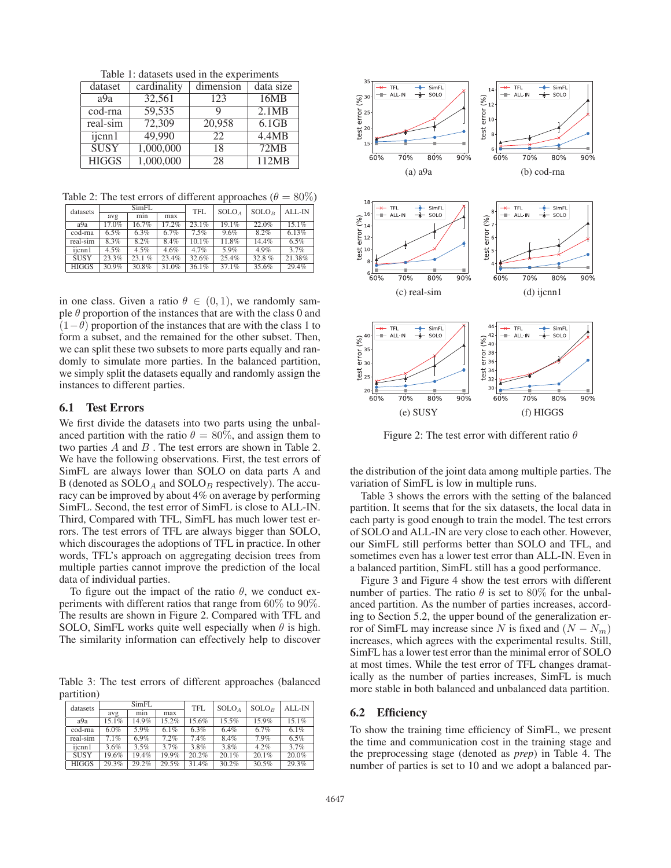Table 1: datasets used in the experiments

| dataset                         | cardinality | dimension | data size |
|---------------------------------|-------------|-----------|-----------|
| a9a                             | 32,561      | 123       | 16MB      |
| cod-rna                         | 59,535      |           | 2.1MB     |
| real-sim                        | 72,309      | 20,958    | 6.1GB     |
| $\overline{\mathbf{i}$ icnn $1$ | 49,990      | 22        | 4.4MB     |
| <b>SUSY</b>                     | 1,000,000   | 18        | 72MB      |
| <b>HIGGS</b>                    | 1,000,000   | 28        | 112MB     |

Table 2: The test errors of different approaches ( $\theta = 80\%$ )

| datasets     | SimFL   |       | <b>TFL</b> | S OLO <sub>A</sub> | S OLO <sub>B</sub> | ALL-IN |          |
|--------------|---------|-------|------------|--------------------|--------------------|--------|----------|
|              | avg     | min   | max        |                    |                    |        |          |
| a9a          | 17.0%   | 16.7% | 17.2%      | $23.1\%$           | 19.1%              | 22.0%  | $15.1\%$ |
| cod-rna      | 6.5%    | 6.3%  | 6.7%       | 7.5%               | 9.6%               | 8.2%   | 6.13%    |
| real-sim     | $8.3\%$ | 8.2%  | 8.4%       | $10.1\%$           | 11.8%              | 14.4%  | 6.5%     |
| ijcnn1       | 4.5%    | 4.5%  | 4.6%       | 4.7%               | 5.9%               | 4.9%   | 3.7%     |
| <b>SUSY</b>  | 23.3%   | 23.1% | 23.4%      | 32.6%              | 25.4%              | 32.8%  | 21.38%   |
| <b>HIGGS</b> | 30.9%   | 30.8% | 31.0%      | 36.1%              | 37.1%              | 35.6%  | 29.4%    |

in one class. Given a ratio  $\theta \in (0, 1)$ , we randomly sample  $\theta$  proportion of the instances that are with the class 0 and  $(1-\theta)$  proportion of the instances that are with the class 1 to form a subset, and the remained for the other subset. Then, we can split these two subsets to more parts equally and randomly to simulate more parties. In the balanced partition, we simply split the datasets equally and randomly assign the instances to different parties.

### 6.1 Test Errors

We first divide the datasets into two parts using the unbalanced partition with the ratio  $\theta = 80\%$ , and assign them to two parties  $A$  and  $B$ . The test errors are shown in Table 2. We have the following observations. First, the test errors of SimFL are always lower than SOLO on data parts A and B (denoted as  $S OLO<sub>A</sub>$  and  $S OLO<sub>B</sub>$  respectively). The accuracy can be improved by about 4% on average by performing SimFL. Second, the test error of SimFL is close to ALL-IN. Third, Compared with TFL, SimFL has much lower test errors. The test errors of TFL are always bigger than SOLO, which discourages the adoptions of TFL in practice. In other words, TFL's approach on aggregating decision trees from multiple parties cannot improve the prediction of the local data of individual parties.

To figure out the impact of the ratio  $\theta$ , we conduct experiments with different ratios that range from 60% to 90%. The results are shown in Figure 2. Compared with TFL and SOLO, SimFL works quite well especially when  $\theta$  is high. The similarity information can effectively help to discover

Table 3: The test errors of different approaches (balanced partition)

| datasets     | SimFL |       | <b>TFL</b> | S OLO <sub>A</sub> | SOLO <sub>B</sub> | ALL-IN   |       |
|--------------|-------|-------|------------|--------------------|-------------------|----------|-------|
|              | avg   | min   | max        |                    |                   |          |       |
| a9a          | 15.1% | 14.9% | 15.2%      | 15.6%              | 15.5%             | 15.9%    | 15.1% |
| cod-rna      | 6.0%  | 5.9%  | 6.1%       | 6.3%               | 6.4%              | 6.7%     | 6.1%  |
| real-sim     | 7.1%  | 6.9%  | 7.2%       | 7.4%               | 8.4%              | 7.9%     | 6.5%  |
| iicnn1       | 3.6%  | 3.5%  | 3.7%       | 3.8%               | 3.8%              | 4.2%     | 3.7%  |
| <b>SUSY</b>  | 19.6% | 19.4% | 19.9%      | 20.2%              | 20.1%             | $20.1\%$ | 20.0% |
| <b>HIGGS</b> | 29.3% | 29.2% | 29.5%      | 31.4%              | 30.2%             | 30.5%    | 29.3% |



Figure 2: The test error with different ratio  $\theta$ 

the distribution of the joint data among multiple parties. The variation of SimFL is low in multiple runs.

Table 3 shows the errors with the setting of the balanced partition. It seems that for the six datasets, the local data in each party is good enough to train the model. The test errors of SOLO and ALL-IN are very close to each other. However, our SimFL still performs better than SOLO and TFL, and sometimes even has a lower test error than ALL-IN. Even in a balanced partition, SimFL still has a good performance.

Figure 3 and Figure 4 show the test errors with different number of parties. The ratio  $\theta$  is set to 80% for the unbalanced partition. As the number of parties increases, according to Section 5.2, the upper bound of the generalization error of SimFL may increase since N is fixed and  $(N - N_m)$ increases, which agrees with the experimental results. Still, SimFL has a lower test error than the minimal error of SOLO at most times. While the test error of TFL changes dramatically as the number of parties increases, SimFL is much more stable in both balanced and unbalanced data partition.

### 6.2 Efficiency

To show the training time efficiency of SimFL, we present the time and communication cost in the training stage and the preprocessing stage (denoted as *prep*) in Table 4. The number of parties is set to 10 and we adopt a balanced par-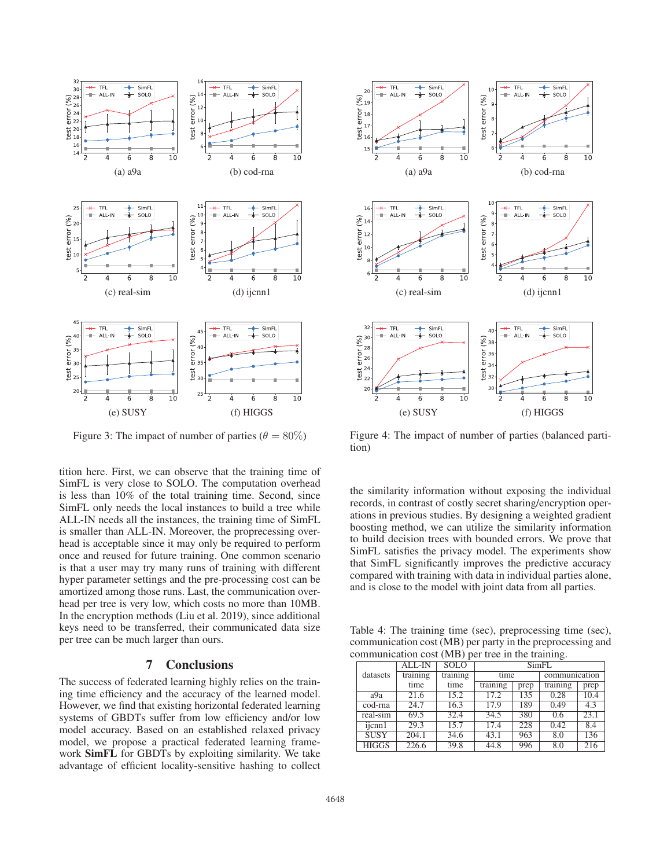

Figure 3: The impact of number of parties ( $\theta = 80\%$ )

tition here. First, we can observe that the training time of SimFL is very close to SOLO. The computation overhead is less than 10% of the total training time. Second, since SimFL only needs the local instances to build a tree while ALL-IN needs all the instances, the training time of SimFL is smaller than ALL-IN. Moreover, the proprecessing overhead is acceptable since it may only be required to perform once and reused for future training. One common scenario is that a user may try many runs of training with different hyper parameter settings and the pre-processing cost can be amortized among those runs. Last, the communication overhead per tree is very low, which costs no more than 10MB. In the encryption methods (Liu et al. 2019), since additional keys need to be transferred, their communicated data size per tree can be much larger than ours.

### 7 Conclusions

The success of federated learning highly relies on the training time efficiency and the accuracy of the learned model. However, we find that existing horizontal federated learning systems of GBDTs suffer from low efficiency and/or low model accuracy. Based on an established relaxed privacy model, we propose a practical federated learning framework SimFL for GBDTs by exploiting similarity. We take advantage of efficient locality-sensitive hashing to collect



Figure 4: The impact of number of parties (balanced partition)

the similarity information without exposing the individual records, in contrast of costly secret sharing/encryption operations in previous studies. By designing a weighted gradient boosting method, we can utilize the similarity information to build decision trees with bounded errors. We prove that SimFL satisfies the privacy model. The experiments show that SimFL significantly improves the predictive accuracy compared with training with data in individual parties alone, and is close to the model with joint data from all parties.

Table 4: The training time (sec), preprocessing time (sec), communication cost (MB) per party in the preprocessing and communication cost (MB) per tree in the training.

|              | ALL-IN            | <b>SOLO</b> | <b>SimFL</b> |      |                  |      |  |
|--------------|-------------------|-------------|--------------|------|------------------|------|--|
| datasets     | training          | training    | time         |      | communication    |      |  |
|              | time              | time        | training     | prep | training         | prep |  |
| a9a          | 21.6              | 15.2        | 17.2         | 135  | 0.28             | 10.4 |  |
| cod-rna      | 24.7              | 16.3        | 17.9         | 189  | 0.49             | 4.3  |  |
| real-sim     | 69.5              | 32.4        | 34.5         | 380  | $\overline{0.6}$ | 23.1 |  |
| ijcnn1       | $\overline{29.3}$ | 15.7        | 17.4         | 228  | 0.42             | 8.4  |  |
| <b>SUSY</b>  | 204.1             | 34.6        | 43.1         | 963  | 8.0              | 136  |  |
| <b>HIGGS</b> | 226.6             | 39.8        | 44.8         | 996  | 8.0              | 216  |  |